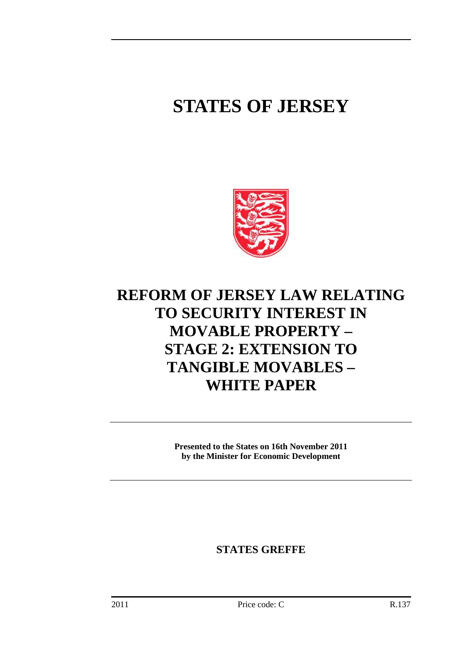# **STATES OF JERSEY**



## **REFORM OF JERSEY LAW RELATING TO SECURITY INTEREST IN MOVABLE PROPERTY – STAGE 2: EXTENSION TO TANGIBLE MOVABLES – WHITE PAPER**

**Presented to the States on 16th November 2011 by the Minister for Economic Development** 

**STATES GREFFE**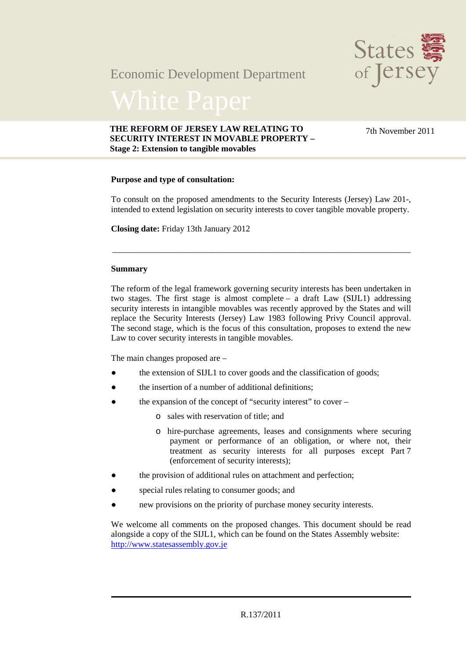### Economic Development Department



#### **THE REFORM OF JERSEY LAW RELATING TO SECURITY INTEREST IN MOVABLE PROPERTY – Stage 2: Extension to tangible movables**

7th November 2011

#### **Purpose and type of consultation:**

To consult on the proposed amendments to the Security Interests (Jersey) Law 201-, intended to extend legislation on security interests to cover tangible movable property.

\_\_\_\_\_\_\_\_\_\_\_\_\_\_\_\_\_\_\_\_\_\_\_\_\_\_\_\_\_\_\_\_\_\_\_\_\_\_\_\_\_\_\_\_\_\_\_\_\_\_\_\_\_\_\_\_\_\_\_\_\_\_\_\_\_\_\_\_\_

**Closing date:** Friday 13th January 2012

#### **Summary**

The reform of the legal framework governing security interests has been undertaken in two stages. The first stage is almost complete – a draft Law (SIJL1) addressing security interests in intangible movables was recently approved by the States and will replace the Security Interests (Jersey) Law 1983 following Privy Council approval. The second stage, which is the focus of this consultation, proposes to extend the new Law to cover security interests in tangible movables.

The main changes proposed are –

- the extension of SIJL1 to cover goods and the classification of goods;
- the insertion of a number of additional definitions:
- the expansion of the concept of "security interest" to cover
	- o sales with reservation of title; and
	- o hire-purchase agreements, leases and consignments where securing payment or performance of an obligation, or where not, their treatment as security interests for all purposes except Part 7 (enforcement of security interests);
- the provision of additional rules on attachment and perfection;
- special rules relating to consumer goods; and
- new provisions on the priority of purchase money security interests.

We welcome all comments on the proposed changes. This document should be read alongside a copy of the SIJL1, which can be found on the States Assembly website: http://www.statesassembly.gov.je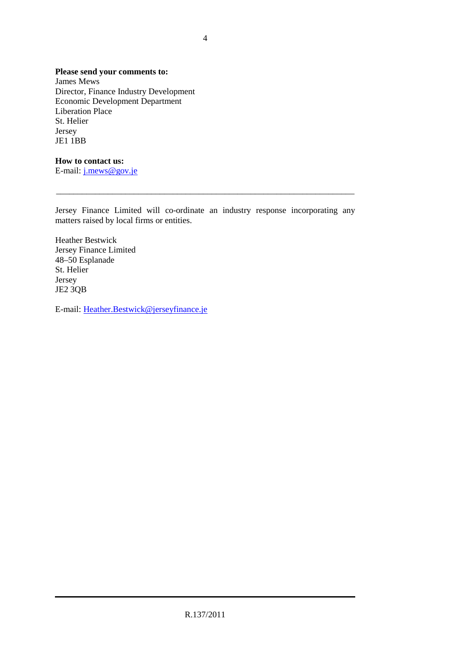### **Please send your comments to:**

James Mews Director, Finance Industry Development Economic Development Department Liberation Place St. Helier Jersey JE1 1BB

### **How to contact us:**

E-mail: j.mews@gov.je

Jersey Finance Limited will co-ordinate an industry response incorporating any matters raised by local firms or entities.

\_\_\_\_\_\_\_\_\_\_\_\_\_\_\_\_\_\_\_\_\_\_\_\_\_\_\_\_\_\_\_\_\_\_\_\_\_\_\_\_\_\_\_\_\_\_\_\_\_\_\_\_\_\_\_\_\_\_\_\_\_\_\_\_\_\_\_\_\_

Heather Bestwick Jersey Finance Limited 48–50 Esplanade St. Helier Jersey JE2 3QB

E-mail: Heather.Bestwick@jerseyfinance.je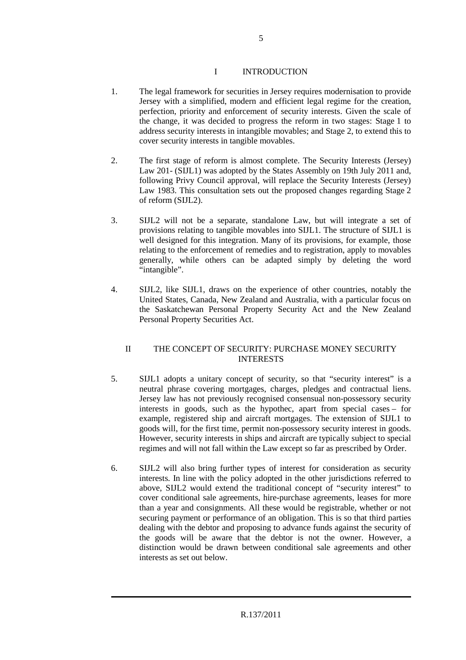#### I INTRODUCTION

- 1. The legal framework for securities in Jersey requires modernisation to provide Jersey with a simplified, modern and efficient legal regime for the creation, perfection, priority and enforcement of security interests. Given the scale of the change, it was decided to progress the reform in two stages: Stage 1 to address security interests in intangible movables; and Stage 2, to extend this to cover security interests in tangible movables.
- 2. The first stage of reform is almost complete. The Security Interests (Jersey) Law 201- (SIJL1) was adopted by the States Assembly on 19th July 2011 and, following Privy Council approval, will replace the Security Interests (Jersey) Law 1983. This consultation sets out the proposed changes regarding Stage 2 of reform (SIJL2).
- 3. SIJL2 will not be a separate, standalone Law, but will integrate a set of provisions relating to tangible movables into SIJL1. The structure of SIJL1 is well designed for this integration. Many of its provisions, for example, those relating to the enforcement of remedies and to registration, apply to movables generally, while others can be adapted simply by deleting the word "intangible".
- 4. SIJL2, like SIJL1, draws on the experience of other countries, notably the United States, Canada, New Zealand and Australia, with a particular focus on the Saskatchewan Personal Property Security Act and the New Zealand Personal Property Securities Act.

#### II THE CONCEPT OF SECURITY: PURCHASE MONEY SECURITY INTERESTS

- 5. SIJL1 adopts a unitary concept of security, so that "security interest" is a neutral phrase covering mortgages, charges, pledges and contractual liens. Jersey law has not previously recognised consensual non-possessory security interests in goods, such as the hypothec, apart from special cases – for example, registered ship and aircraft mortgages. The extension of SIJL1 to goods will, for the first time, permit non-possessory security interest in goods. However, security interests in ships and aircraft are typically subject to special regimes and will not fall within the Law except so far as prescribed by Order.
- 6. SIJL2 will also bring further types of interest for consideration as security interests. In line with the policy adopted in the other jurisdictions referred to above, SIJL2 would extend the traditional concept of "security interest" to cover conditional sale agreements, hire-purchase agreements, leases for more than a year and consignments. All these would be registrable, whether or not securing payment or performance of an obligation. This is so that third parties dealing with the debtor and proposing to advance funds against the security of the goods will be aware that the debtor is not the owner. However, a distinction would be drawn between conditional sale agreements and other interests as set out below.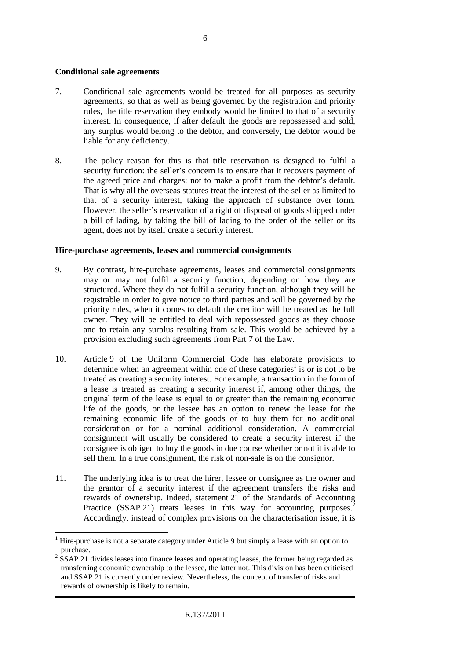#### **Conditional sale agreements**

- 7. Conditional sale agreements would be treated for all purposes as security agreements, so that as well as being governed by the registration and priority rules, the title reservation they embody would be limited to that of a security interest. In consequence, if after default the goods are repossessed and sold, any surplus would belong to the debtor, and conversely, the debtor would be liable for any deficiency.
- 8. The policy reason for this is that title reservation is designed to fulfil a security function: the seller's concern is to ensure that it recovers payment of the agreed price and charges; not to make a profit from the debtor's default. That is why all the overseas statutes treat the interest of the seller as limited to that of a security interest, taking the approach of substance over form. However, the seller's reservation of a right of disposal of goods shipped under a bill of lading, by taking the bill of lading to the order of the seller or its agent, does not by itself create a security interest.

#### **Hire-purchase agreements, leases and commercial consignments**

- 9. By contrast, hire-purchase agreements, leases and commercial consignments may or may not fulfil a security function, depending on how they are structured. Where they do not fulfil a security function, although they will be registrable in order to give notice to third parties and will be governed by the priority rules, when it comes to default the creditor will be treated as the full owner. They will be entitled to deal with repossessed goods as they choose and to retain any surplus resulting from sale. This would be achieved by a provision excluding such agreements from Part 7 of the Law.
- 10. Article 9 of the Uniform Commercial Code has elaborate provisions to determine when an agreement within one of these categories<sup>1</sup> is or is not to be treated as creating a security interest. For example, a transaction in the form of a lease is treated as creating a security interest if, among other things, the original term of the lease is equal to or greater than the remaining economic life of the goods, or the lessee has an option to renew the lease for the remaining economic life of the goods or to buy them for no additional consideration or for a nominal additional consideration. A commercial consignment will usually be considered to create a security interest if the consignee is obliged to buy the goods in due course whether or not it is able to sell them. In a true consignment, the risk of non-sale is on the consignor.
- 11. The underlying idea is to treat the hirer, lessee or consignee as the owner and the grantor of a security interest if the agreement transfers the risks and rewards of ownership. Indeed, statement 21 of the Standards of Accounting Practice (SSAP 21) treats leases in this way for accounting purposes.<sup>2</sup> Accordingly, instead of complex provisions on the characterisation issue, it is

 $\overline{a}$ <sup>1</sup> Hire-purchase is not a separate category under Article 9 but simply a lease with an option to purchase.

 $2^{2}$  SSAP 21 divides leases into finance leases and operating leases, the former being regarded as transferring economic ownership to the lessee, the latter not. This division has been criticised and SSAP 21 is currently under review. Nevertheless, the concept of transfer of risks and rewards of ownership is likely to remain.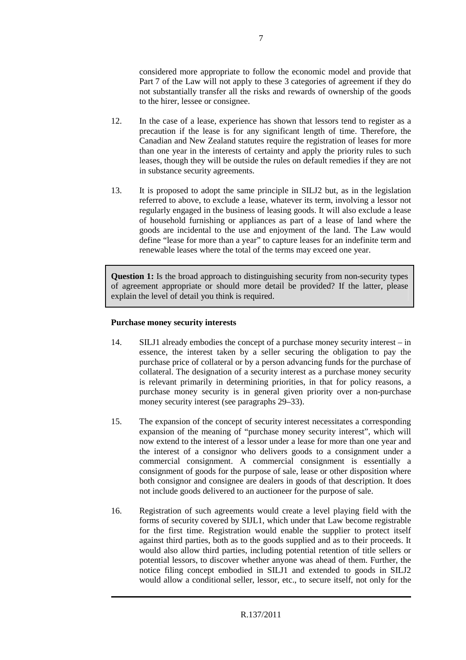considered more appropriate to follow the economic model and provide that Part 7 of the Law will not apply to these 3 categories of agreement if they do not substantially transfer all the risks and rewards of ownership of the goods to the hirer, lessee or consignee.

- 12. In the case of a lease, experience has shown that lessors tend to register as a precaution if the lease is for any significant length of time. Therefore, the Canadian and New Zealand statutes require the registration of leases for more than one year in the interests of certainty and apply the priority rules to such leases, though they will be outside the rules on default remedies if they are not in substance security agreements.
- 13. It is proposed to adopt the same principle in SILJ2 but, as in the legislation referred to above, to exclude a lease, whatever its term, involving a lessor not regularly engaged in the business of leasing goods. It will also exclude a lease of household furnishing or appliances as part of a lease of land where the goods are incidental to the use and enjoyment of the land. The Law would define "lease for more than a year" to capture leases for an indefinite term and renewable leases where the total of the terms may exceed one year.

**Question 1:** Is the broad approach to distinguishing security from non-security types of agreement appropriate or should more detail be provided? If the latter, please explain the level of detail you think is required.

#### **Purchase money security interests**

- 14. SILJ1 already embodies the concept of a purchase money security interest in essence, the interest taken by a seller securing the obligation to pay the purchase price of collateral or by a person advancing funds for the purchase of collateral. The designation of a security interest as a purchase money security is relevant primarily in determining priorities, in that for policy reasons, a purchase money security is in general given priority over a non-purchase money security interest (see paragraphs 29–33).
- 15. The expansion of the concept of security interest necessitates a corresponding expansion of the meaning of "purchase money security interest", which will now extend to the interest of a lessor under a lease for more than one year and the interest of a consignor who delivers goods to a consignment under a commercial consignment. A commercial consignment is essentially a consignment of goods for the purpose of sale, lease or other disposition where both consignor and consignee are dealers in goods of that description. It does not include goods delivered to an auctioneer for the purpose of sale.
- 16. Registration of such agreements would create a level playing field with the forms of security covered by SIJL1, which under that Law become registrable for the first time. Registration would enable the supplier to protect itself against third parties, both as to the goods supplied and as to their proceeds. It would also allow third parties, including potential retention of title sellers or potential lessors, to discover whether anyone was ahead of them. Further, the notice filing concept embodied in SILJ1 and extended to goods in SILJ2 would allow a conditional seller, lessor, etc., to secure itself, not only for the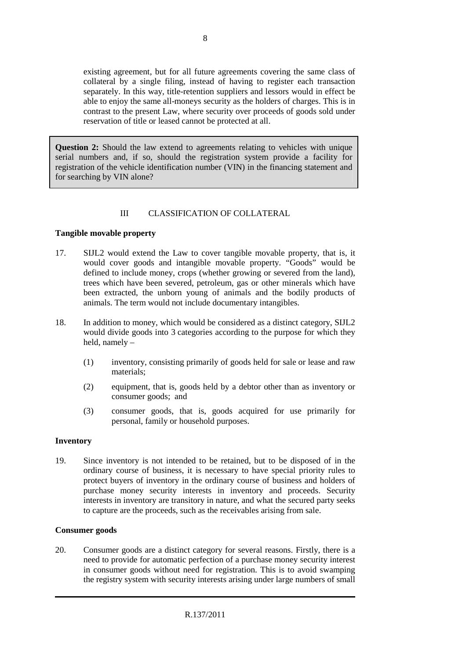existing agreement, but for all future agreements covering the same class of collateral by a single filing, instead of having to register each transaction separately. In this way, title-retention suppliers and lessors would in effect be able to enjoy the same all-moneys security as the holders of charges. This is in contrast to the present Law, where security over proceeds of goods sold under reservation of title or leased cannot be protected at all.

**Question 2:** Should the law extend to agreements relating to vehicles with unique serial numbers and, if so, should the registration system provide a facility for registration of the vehicle identification number (VIN) in the financing statement and for searching by VIN alone?

#### III CLASSIFICATION OF COLLATERAL

#### **Tangible movable property**

- 17. SIJL2 would extend the Law to cover tangible movable property, that is, it would cover goods and intangible movable property. "Goods" would be defined to include money, crops (whether growing or severed from the land), trees which have been severed, petroleum, gas or other minerals which have been extracted, the unborn young of animals and the bodily products of animals. The term would not include documentary intangibles.
- 18. In addition to money, which would be considered as a distinct category, SIJL2 would divide goods into 3 categories according to the purpose for which they held, namely –
	- (1) inventory, consisting primarily of goods held for sale or lease and raw materials;
	- (2) equipment, that is, goods held by a debtor other than as inventory or consumer goods; and
	- (3) consumer goods, that is, goods acquired for use primarily for personal, family or household purposes.

#### **Inventory**

19. Since inventory is not intended to be retained, but to be disposed of in the ordinary course of business, it is necessary to have special priority rules to protect buyers of inventory in the ordinary course of business and holders of purchase money security interests in inventory and proceeds. Security interests in inventory are transitory in nature, and what the secured party seeks to capture are the proceeds, such as the receivables arising from sale.

#### **Consumer goods**

20. Consumer goods are a distinct category for several reasons. Firstly, there is a need to provide for automatic perfection of a purchase money security interest in consumer goods without need for registration. This is to avoid swamping the registry system with security interests arising under large numbers of small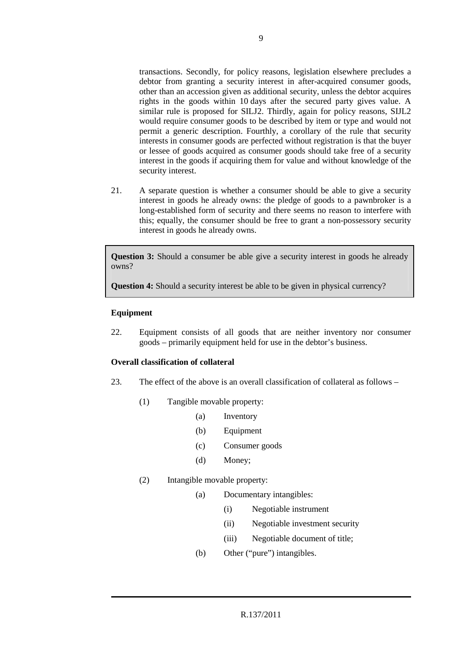transactions. Secondly, for policy reasons, legislation elsewhere precludes a debtor from granting a security interest in after-acquired consumer goods, other than an accession given as additional security, unless the debtor acquires rights in the goods within 10 days after the secured party gives value. A similar rule is proposed for SILJ2. Thirdly, again for policy reasons, SIJL2 would require consumer goods to be described by item or type and would not permit a generic description. Fourthly, a corollary of the rule that security interests in consumer goods are perfected without registration is that the buyer or lessee of goods acquired as consumer goods should take free of a security interest in the goods if acquiring them for value and without knowledge of the security interest.

21. A separate question is whether a consumer should be able to give a security interest in goods he already owns: the pledge of goods to a pawnbroker is a long-established form of security and there seems no reason to interfere with this; equally, the consumer should be free to grant a non-possessory security interest in goods he already owns.

**Question 3:** Should a consumer be able give a security interest in goods he already owns?

**Question 4:** Should a security interest be able to be given in physical currency?

#### **Equipment**

22. Equipment consists of all goods that are neither inventory nor consumer goods – primarily equipment held for use in the debtor's business.

#### **Overall classification of collateral**

- 23. The effect of the above is an overall classification of collateral as follows
	- (1) Tangible movable property:
		- (a) Inventory
		- (b) Equipment
		- (c) Consumer goods
		- (d) Money;

#### (2) Intangible movable property:

- (a) Documentary intangibles:
	- (i) Negotiable instrument
	- (ii) Negotiable investment security
	- (iii) Negotiable document of title;
- (b) Other ("pure") intangibles.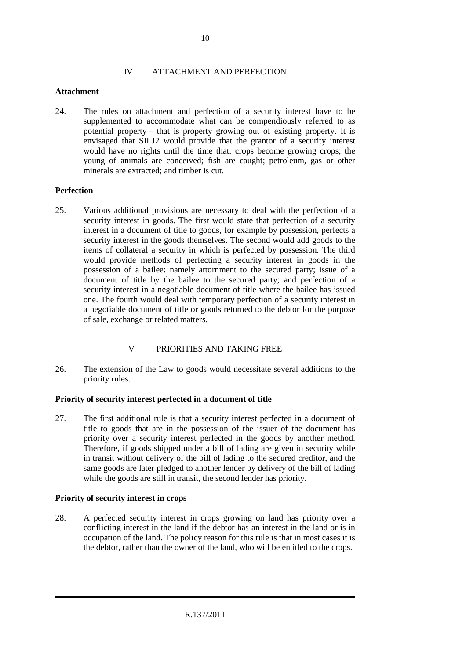#### IV ATTACHMENT AND PERFECTION

#### **Attachment**

24. The rules on attachment and perfection of a security interest have to be supplemented to accommodate what can be compendiously referred to as potential property – that is property growing out of existing property. It is envisaged that SILJ2 would provide that the grantor of a security interest would have no rights until the time that: crops become growing crops; the young of animals are conceived; fish are caught; petroleum, gas or other minerals are extracted; and timber is cut.

#### **Perfection**

25. Various additional provisions are necessary to deal with the perfection of a security interest in goods. The first would state that perfection of a security interest in a document of title to goods, for example by possession, perfects a security interest in the goods themselves. The second would add goods to the items of collateral a security in which is perfected by possession. The third would provide methods of perfecting a security interest in goods in the possession of a bailee: namely attornment to the secured party; issue of a document of title by the bailee to the secured party; and perfection of a security interest in a negotiable document of title where the bailee has issued one. The fourth would deal with temporary perfection of a security interest in a negotiable document of title or goods returned to the debtor for the purpose of sale, exchange or related matters.

### V PRIORITIES AND TAKING FREE

26. The extension of the Law to goods would necessitate several additions to the priority rules.

#### **Priority of security interest perfected in a document of title**

27. The first additional rule is that a security interest perfected in a document of title to goods that are in the possession of the issuer of the document has priority over a security interest perfected in the goods by another method. Therefore, if goods shipped under a bill of lading are given in security while in transit without delivery of the bill of lading to the secured creditor, and the same goods are later pledged to another lender by delivery of the bill of lading while the goods are still in transit, the second lender has priority.

#### **Priority of security interest in crops**

28. A perfected security interest in crops growing on land has priority over a conflicting interest in the land if the debtor has an interest in the land or is in occupation of the land. The policy reason for this rule is that in most cases it is the debtor, rather than the owner of the land, who will be entitled to the crops.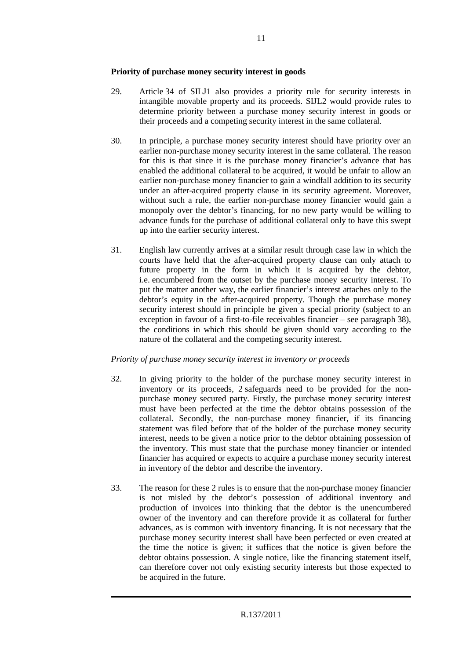#### **Priority of purchase money security interest in goods**

- 29. Article 34 of SILJ1 also provides a priority rule for security interests in intangible movable property and its proceeds. SIJL2 would provide rules to determine priority between a purchase money security interest in goods or their proceeds and a competing security interest in the same collateral.
- 30. In principle, a purchase money security interest should have priority over an earlier non-purchase money security interest in the same collateral. The reason for this is that since it is the purchase money financier's advance that has enabled the additional collateral to be acquired, it would be unfair to allow an earlier non-purchase money financier to gain a windfall addition to its security under an after-acquired property clause in its security agreement. Moreover, without such a rule, the earlier non-purchase money financier would gain a monopoly over the debtor's financing, for no new party would be willing to advance funds for the purchase of additional collateral only to have this swept up into the earlier security interest.
- 31. English law currently arrives at a similar result through case law in which the courts have held that the after-acquired property clause can only attach to future property in the form in which it is acquired by the debtor, i.e. encumbered from the outset by the purchase money security interest. To put the matter another way, the earlier financier's interest attaches only to the debtor's equity in the after-acquired property. Though the purchase money security interest should in principle be given a special priority (subject to an exception in favour of a first-to-file receivables financier – see paragraph 38), the conditions in which this should be given should vary according to the nature of the collateral and the competing security interest.

#### *Priority of purchase money security interest in inventory or proceeds*

- 32. In giving priority to the holder of the purchase money security interest in inventory or its proceeds, 2 safeguards need to be provided for the nonpurchase money secured party. Firstly, the purchase money security interest must have been perfected at the time the debtor obtains possession of the collateral. Secondly, the non-purchase money financier, if its financing statement was filed before that of the holder of the purchase money security interest, needs to be given a notice prior to the debtor obtaining possession of the inventory. This must state that the purchase money financier or intended financier has acquired or expects to acquire a purchase money security interest in inventory of the debtor and describe the inventory.
- 33. The reason for these 2 rules is to ensure that the non-purchase money financier is not misled by the debtor's possession of additional inventory and production of invoices into thinking that the debtor is the unencumbered owner of the inventory and can therefore provide it as collateral for further advances, as is common with inventory financing. It is not necessary that the purchase money security interest shall have been perfected or even created at the time the notice is given; it suffices that the notice is given before the debtor obtains possession. A single notice, like the financing statement itself, can therefore cover not only existing security interests but those expected to be acquired in the future.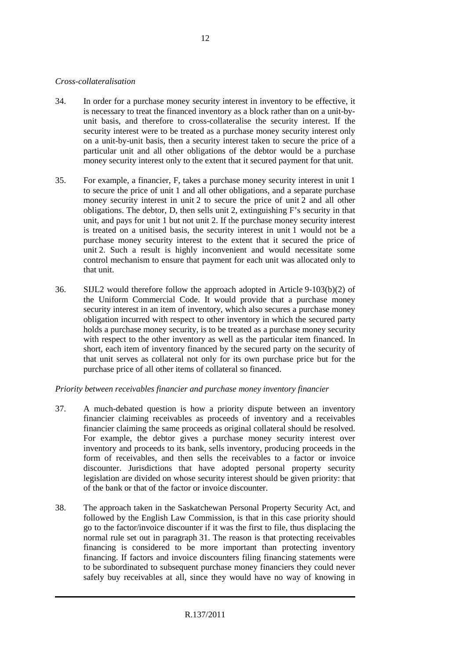#### *Cross-collateralisation*

- 34. In order for a purchase money security interest in inventory to be effective, it is necessary to treat the financed inventory as a block rather than on a unit-byunit basis, and therefore to cross-collateralise the security interest. If the security interest were to be treated as a purchase money security interest only on a unit-by-unit basis, then a security interest taken to secure the price of a particular unit and all other obligations of the debtor would be a purchase money security interest only to the extent that it secured payment for that unit.
- 35. For example, a financier, F, takes a purchase money security interest in unit 1 to secure the price of unit 1 and all other obligations, and a separate purchase money security interest in unit 2 to secure the price of unit 2 and all other obligations. The debtor, D, then sells unit 2, extinguishing F's security in that unit, and pays for unit 1 but not unit 2. If the purchase money security interest is treated on a unitised basis, the security interest in unit 1 would not be a purchase money security interest to the extent that it secured the price of unit 2. Such a result is highly inconvenient and would necessitate some control mechanism to ensure that payment for each unit was allocated only to that unit.
- 36. SIJL2 would therefore follow the approach adopted in Article 9-103(b)(2) of the Uniform Commercial Code. It would provide that a purchase money security interest in an item of inventory, which also secures a purchase money obligation incurred with respect to other inventory in which the secured party holds a purchase money security, is to be treated as a purchase money security with respect to the other inventory as well as the particular item financed. In short, each item of inventory financed by the secured party on the security of that unit serves as collateral not only for its own purchase price but for the purchase price of all other items of collateral so financed.

#### *Priority between receivables financier and purchase money inventory financier*

- 37. A much-debated question is how a priority dispute between an inventory financier claiming receivables as proceeds of inventory and a receivables financier claiming the same proceeds as original collateral should be resolved. For example, the debtor gives a purchase money security interest over inventory and proceeds to its bank, sells inventory, producing proceeds in the form of receivables, and then sells the receivables to a factor or invoice discounter. Jurisdictions that have adopted personal property security legislation are divided on whose security interest should be given priority: that of the bank or that of the factor or invoice discounter.
- 38. The approach taken in the Saskatchewan Personal Property Security Act, and followed by the English Law Commission, is that in this case priority should go to the factor/invoice discounter if it was the first to file, thus displacing the normal rule set out in paragraph 31. The reason is that protecting receivables financing is considered to be more important than protecting inventory financing. If factors and invoice discounters filing financing statements were to be subordinated to subsequent purchase money financiers they could never safely buy receivables at all, since they would have no way of knowing in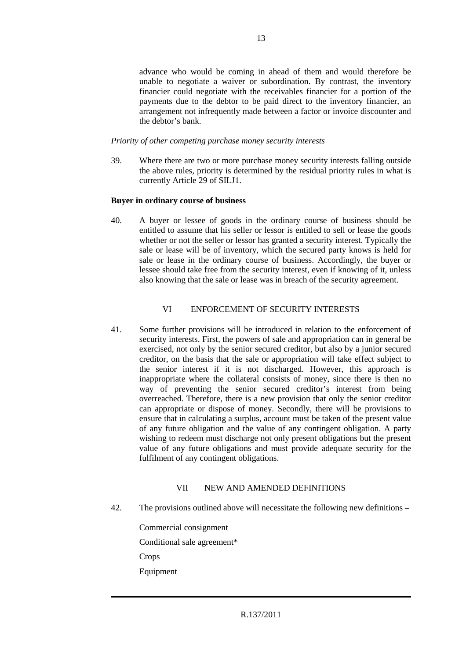advance who would be coming in ahead of them and would therefore be unable to negotiate a waiver or subordination. By contrast, the inventory financier could negotiate with the receivables financier for a portion of the payments due to the debtor to be paid direct to the inventory financier, an arrangement not infrequently made between a factor or invoice discounter and the debtor's bank.

#### *Priority of other competing purchase money security interests*

39. Where there are two or more purchase money security interests falling outside the above rules, priority is determined by the residual priority rules in what is currently Article 29 of SILJ1.

#### **Buyer in ordinary course of business**

40. A buyer or lessee of goods in the ordinary course of business should be entitled to assume that his seller or lessor is entitled to sell or lease the goods whether or not the seller or lessor has granted a security interest. Typically the sale or lease will be of inventory, which the secured party knows is held for sale or lease in the ordinary course of business. Accordingly, the buyer or lessee should take free from the security interest, even if knowing of it, unless also knowing that the sale or lease was in breach of the security agreement.

#### VI ENFORCEMENT OF SECURITY INTERESTS

41. Some further provisions will be introduced in relation to the enforcement of security interests. First, the powers of sale and appropriation can in general be exercised, not only by the senior secured creditor, but also by a junior secured creditor, on the basis that the sale or appropriation will take effect subject to the senior interest if it is not discharged. However, this approach is inappropriate where the collateral consists of money, since there is then no way of preventing the senior secured creditor's interest from being overreached. Therefore, there is a new provision that only the senior creditor can appropriate or dispose of money. Secondly, there will be provisions to ensure that in calculating a surplus, account must be taken of the present value of any future obligation and the value of any contingent obligation. A party wishing to redeem must discharge not only present obligations but the present value of any future obligations and must provide adequate security for the fulfilment of any contingent obligations.

#### VII NEW AND AMENDED DEFINITIONS

42. The provisions outlined above will necessitate the following new definitions –

Commercial consignment Conditional sale agreement\* **Crops** Equipment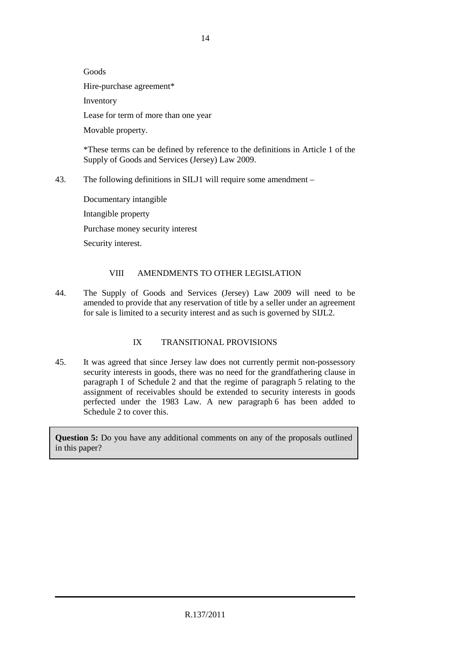Goods Hire-purchase agreement\* Inventory Lease for term of more than one year Movable property.

\*These terms can be defined by reference to the definitions in Article 1 of the Supply of Goods and Services (Jersey) Law 2009.

43. The following definitions in SILJ1 will require some amendment –

Documentary intangible Intangible property Purchase money security interest Security interest.

#### VIII AMENDMENTS TO OTHER LEGISLATION

44. The Supply of Goods and Services (Jersey) Law 2009 will need to be amended to provide that any reservation of title by a seller under an agreement for sale is limited to a security interest and as such is governed by SIJL2.

### IX TRANSITIONAL PROVISIONS

45. It was agreed that since Jersey law does not currently permit non-possessory security interests in goods, there was no need for the grandfathering clause in paragraph 1 of Schedule 2 and that the regime of paragraph 5 relating to the assignment of receivables should be extended to security interests in goods perfected under the 1983 Law. A new paragraph 6 has been added to Schedule 2 to cover this.

**Question 5:** Do you have any additional comments on any of the proposals outlined in this paper?